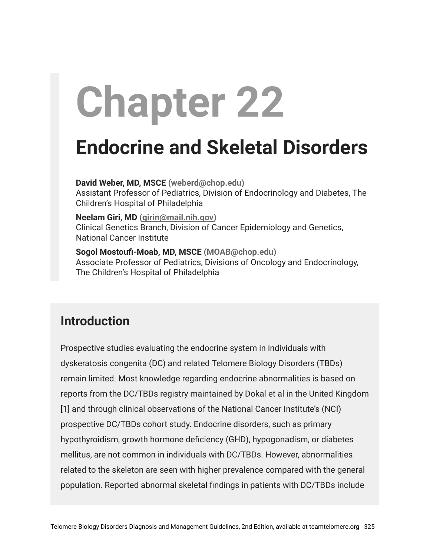# **Chapter 22**

## **Endocrine and Skeletal Disorders**

**David Weber, MD, MSCE ([weberd@chop.edu\)](mailto:weberd@chop.edu)** Assistant Professor of Pediatrics, Division of Endocrinology and Diabetes, The Children's Hospital of Philadelphia

**Neelam Giri, MD [\(girin@mail.nih.gov](mailto:girin@mail.nih.gov))** Clinical Genetics Branch, Division of Cancer Epidemiology and Genetics, National Cancer Institute

**Sogol Mostoufi-Moab, MD, MSCE ([MOAB@chop.edu](mailto:MOAB@chop.edu))** Associate Professor of Pediatrics, Divisions of Oncology and Endocrinology, The Children's Hospital of Philadelphia

## **Introduction**

Prospective studies evaluating the endocrine system in individuals with dyskeratosis congenita (DC) and related Telomere Biology Disorders (TBDs) remain limited. Most knowledge regarding endocrine abnormalities is based on reports from the DC/TBDs registry maintained by Dokal et al in the United Kingdom [1] and through clinical observations of the National Cancer Institute's (NCI) prospective DC/TBDs cohort study. Endocrine disorders, such as primary hypothyroidism, growth hormone deficiency (GHD), hypogonadism, or diabetes mellitus, are not common in individuals with DC/TBDs. However, abnormalities related to the skeleton are seen with higher prevalence compared with the general population. Reported abnormal skeletal findings in patients with DC/TBDs include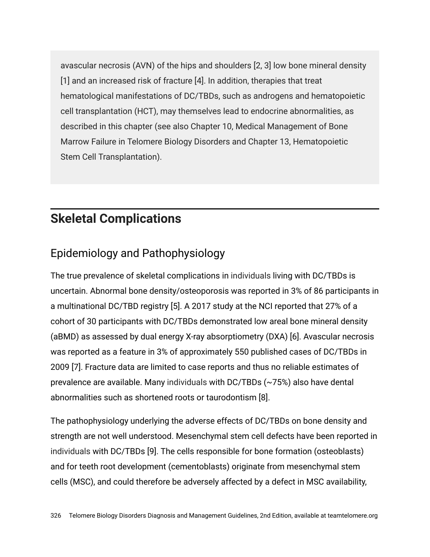avascular necrosis (AVN) of the hips and shoulders [2, 3] low bone mineral density [1] and an increased risk of fracture [4]. In addition, therapies that treat hematological manifestations of DC/TBDs, such as androgens and hematopoietic cell transplantation (HCT), may themselves lead to endocrine abnormalities, as described in this chapter (see also Chapter 10, Medical Management of Bone Marrow Failure in Telomere Biology Disorders and Chapter 13, Hematopoietic Stem Cell Transplantation).

## **Skeletal Complications**

## Epidemiology and Pathophysiology

The true prevalence of skeletal complications in individuals living with DC/TBDs is uncertain. Abnormal bone density/osteoporosis was reported in 3% of 86 participants in a multinational DC/TBD registry [5]. A 2017 study at the NCI reported that 27% of a cohort of 30 participants with DC/TBDs demonstrated low areal bone mineral density (aBMD) as assessed by dual energy X-ray absorptiometry (DXA) [6]. Avascular necrosis was reported as a feature in 3% of approximately 550 published cases of DC/TBDs in 2009 [7]. Fracture data are limited to case reports and thus no reliable estimates of prevalence are available. Many individuals with DC/TBDs (~75%) also have dental abnormalities such as shortened roots or taurodontism [8].

The pathophysiology underlying the adverse effects of DC/TBDs on bone density and strength are not well understood. Mesenchymal stem cell defects have been reported in individuals with DC/TBDs [9]. The cells responsible for bone formation (osteoblasts) and for teeth root development (cementoblasts) originate from mesenchymal stem cells (MSC), and could therefore be adversely affected by a defect in MSC availability,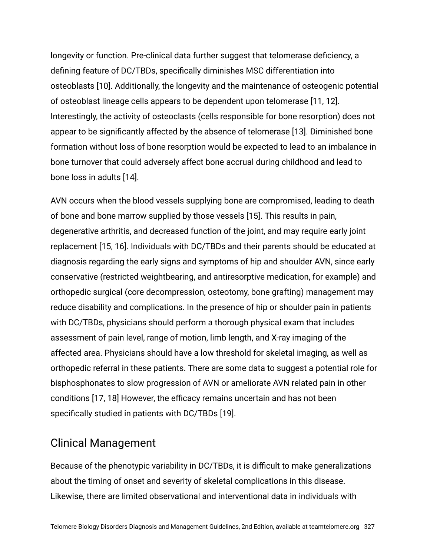longevity or function. Pre-clinical data further suggest that telomerase deficiency, a defining feature of DC/TBDs, specifically diminishes MSC differentiation into osteoblasts [10]. Additionally, the longevity and the maintenance of osteogenic potential of osteoblast lineage cells appears to be dependent upon telomerase [11, 12]. Interestingly, the activity of osteoclasts (cells responsible for bone resorption) does not appear to be significantly affected by the absence of telomerase [13]. Diminished bone formation without loss of bone resorption would be expected to lead to an imbalance in bone turnover that could adversely affect bone accrual during childhood and lead to bone loss in adults [14].

AVN occurs when the blood vessels supplying bone are compromised, leading to death of bone and bone marrow supplied by those vessels [15]. This results in pain, degenerative arthritis, and decreased function of the joint, and may require early joint replacement [15, 16]. Individuals with DC/TBDs and their parents should be educated at diagnosis regarding the early signs and symptoms of hip and shoulder AVN, since early conservative (restricted weightbearing, and antiresorptive medication, for example) and orthopedic surgical (core decompression, osteotomy, bone grafting) management may reduce disability and complications. In the presence of hip or shoulder pain in patients with DC/TBDs, physicians should perform a thorough physical exam that includes assessment of pain level, range of motion, limb length, and X-ray imaging of the affected area. Physicians should have a low threshold for skeletal imaging, as well as orthopedic referral in these patients. There are some data to suggest a potential role for bisphosphonates to slow progression of AVN or ameliorate AVN related pain in other conditions [17, 18] However, the efficacy remains uncertain and has not been specifically studied in patients with DC/TBDs [19].

#### Clinical Management

Because of the phenotypic variability in DC/TBDs, it is difficult to make generalizations about the timing of onset and severity of skeletal complications in this disease. Likewise, there are limited observational and interventional data in individuals with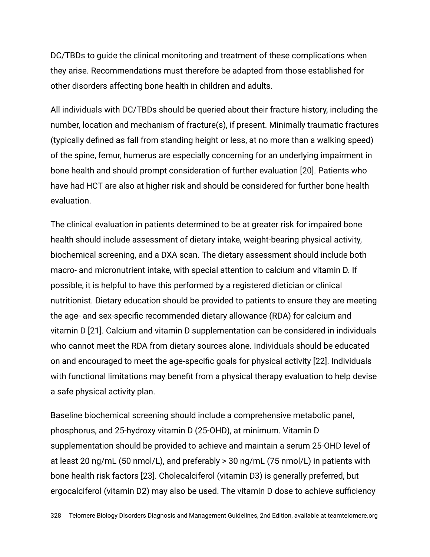DC/TBDs to guide the clinical monitoring and treatment of these complications when they arise. Recommendations must therefore be adapted from those established for other disorders affecting bone health in children and adults.

All individuals with DC/TBDs should be queried about their fracture history, including the number, location and mechanism of fracture(s), if present. Minimally traumatic fractures (typically defined as fall from standing height or less, at no more than a walking speed) of the spine, femur, humerus are especially concerning for an underlying impairment in bone health and should prompt consideration of further evaluation [20]. Patients who have had HCT are also at higher risk and should be considered for further bone health evaluation.

The clinical evaluation in patients determined to be at greater risk for impaired bone health should include assessment of dietary intake, weight-bearing physical activity, biochemical screening, and a DXA scan. The dietary assessment should include both macro- and micronutrient intake, with special attention to calcium and vitamin D. If possible, it is helpful to have this performed by a registered dietician or clinical nutritionist. Dietary education should be provided to patients to ensure they are meeting the age- and sex-specific recommended dietary allowance (RDA) for calcium and vitamin D [21]. Calcium and vitamin D supplementation can be considered in individuals who cannot meet the RDA from dietary sources alone. Individuals should be educated on and encouraged to meet the age-specific goals for physical activity [22]. Individuals with functional limitations may benefit from a physical therapy evaluation to help devise a safe physical activity plan.

Baseline biochemical screening should include a comprehensive metabolic panel, phosphorus, and 25-hydroxy vitamin D (25-OHD), at minimum. Vitamin D supplementation should be provided to achieve and maintain a serum 25-OHD level of at least 20 ng/mL (50 nmol/L), and preferably > 30 ng/mL (75 nmol/L) in patients with bone health risk factors [23]. Cholecalciferol (vitamin D3) is generally preferred, but ergocalciferol (vitamin D2) may also be used. The vitamin D dose to achieve sufficiency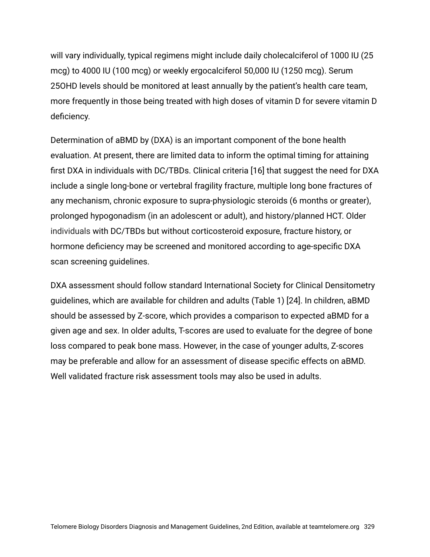will vary individually, typical regimens might include daily cholecalciferol of 1000 IU (25 mcg) to 4000 IU (100 mcg) or weekly ergocalciferol 50,000 IU (1250 mcg). Serum 25OHD levels should be monitored at least annually by the patient's health care team, more frequently in those being treated with high doses of vitamin D for severe vitamin D deficiency.

Determination of aBMD by (DXA) is an important component of the bone health evaluation. At present, there are limited data to inform the optimal timing for attaining first DXA in individuals with DC/TBDs. Clinical criteria [16] that suggest the need for DXA include a single long-bone or vertebral fragility fracture, multiple long bone fractures of any mechanism, chronic exposure to supra-physiologic steroids (6 months or greater), prolonged hypogonadism (in an adolescent or adult), and history/planned HCT. Older individuals with DC/TBDs but without corticosteroid exposure, fracture history, or hormone deficiency may be screened and monitored according to age-specific DXA scan screening guidelines.

DXA assessment should follow standard International Society for Clinical Densitometry guidelines, which are available for children and adults (Table 1) [24]. In children, aBMD should be assessed by Z-score, which provides a comparison to expected aBMD for a given age and sex. In older adults, T-scores are used to evaluate for the degree of bone loss compared to peak bone mass. However, in the case of younger adults, Z-scores may be preferable and allow for an assessment of disease specific effects on aBMD. Well validated fracture risk assessment tools may also be used in adults.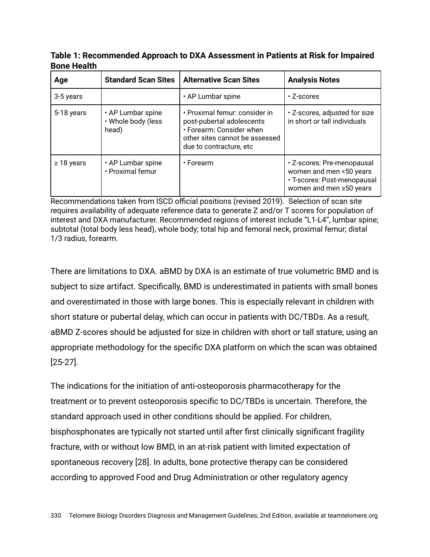**Table 1: Recommended Approach to DXA Assessment in Patients at Risk for Impaired Bone Health**

| Age             | <b>Standard Scan Sites</b>                       | <b>Alternative Scan Sites</b>                                                                                                                        | <b>Analysis Notes</b>                                                                                           |
|-----------------|--------------------------------------------------|------------------------------------------------------------------------------------------------------------------------------------------------------|-----------------------------------------------------------------------------------------------------------------|
| 3-5 years       |                                                  | • AP Lumbar spine                                                                                                                                    | $\cdot$ Z-scores                                                                                                |
| 5-18 years      | • AP Lumbar spine<br>• Whole body (less<br>head) | • Proximal femur: consider in<br>post-pubertal adolescents<br>• Forearm: Consider when<br>other sites cannot be assessed<br>due to contracture, etc. | . Z-scores, adjusted for size<br>in short or tall individuals                                                   |
| $\geq$ 18 years | • AP Lumbar spine<br>• Proximal femur            | $\cdot$ Forearm                                                                                                                                      | • Z-scores: Pre-menopausal<br>women and men <50 years<br>· T-scores: Post-menopausal<br>women and men ≥50 years |

Recommendations taken from ISCD official positions (revised 2019). Selection of scan site requires availability of adequate reference data to generate Z and/or T scores for population of interest and DXA manufacturer. Recommended regions of interest include "L1-L4", lumbar spine; subtotal (total body less head), whole body; total hip and femoral neck, proximal femur; distal 1/3 radius, forearm.

There are limitations to DXA. aBMD by DXA is an estimate of true volumetric BMD and is subject to size artifact. Specifically, BMD is underestimated in patients with small bones and overestimated in those with large bones. This is especially relevant in children with short stature or pubertal delay, which can occur in patients with DC/TBDs. As a result, aBMD Z-scores should be adjusted for size in children with short or tall stature, using an appropriate methodology for the specific DXA platform on which the scan was obtained [25-27].

The indications for the initiation of anti-osteoporosis pharmacotherapy for the treatment or to prevent osteoporosis specific to DC/TBDs is uncertain. Therefore, the standard approach used in other conditions should be applied. For children, bisphosphonates are typically not started until after first clinically significant fragility fracture, with or without low BMD, in an at-risk patient with limited expectation of spontaneous recovery [28]. In adults, bone protective therapy can be considered according to approved Food and Drug Administration or other regulatory agency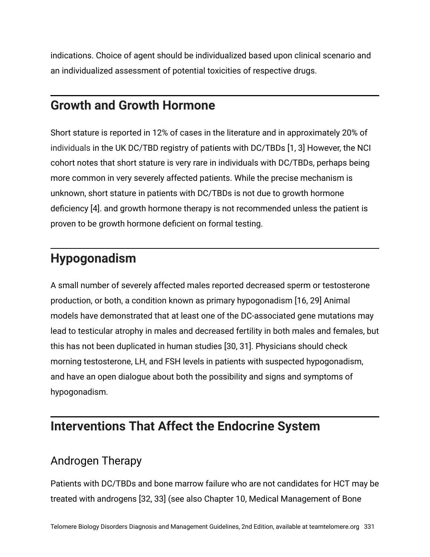indications. Choice of agent should be individualized based upon clinical scenario and an individualized assessment of potential toxicities of respective drugs.

## **Growth and Growth Hormone**

Short stature is reported in 12% of cases in the literature and in approximately 20% of individuals in the UK DC/TBD registry of patients with DC/TBDs [1, 3] However, the NCI cohort notes that short stature is very rare in individuals with DC/TBDs, perhaps being more common in very severely affected patients. While the precise mechanism is unknown, short stature in patients with DC/TBDs is not due to growth hormone deficiency [4]. and growth hormone therapy is not recommended unless the patient is proven to be growth hormone deficient on formal testing.

## **Hypogonadism**

A small number of severely affected males reported decreased sperm or testosterone production, or both, a condition known as primary hypogonadism [16, 29] Animal models have demonstrated that at least one of the DC-associated gene mutations may lead to testicular atrophy in males and decreased fertility in both males and females, but this has not been duplicated in human studies [30, 31]. Physicians should check morning testosterone, LH, and FSH levels in patients with suspected hypogonadism, and have an open dialogue about both the possibility and signs and symptoms of hypogonadism.

## **Interventions That Affect the Endocrine System**

### Androgen Therapy

Patients with DC/TBDs and bone marrow failure who are not candidates for HCT may be treated with androgens [32, 33] (see also Chapter 10, Medical Management of Bone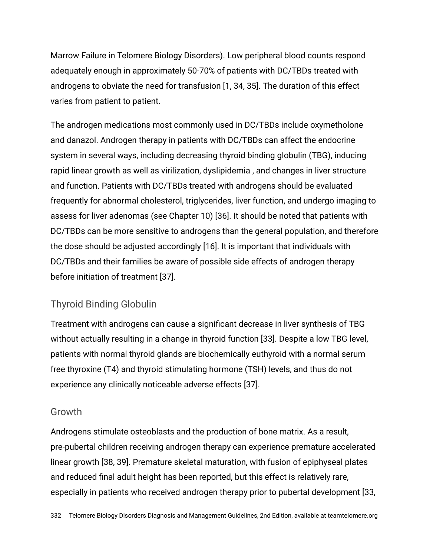Marrow Failure in Telomere Biology Disorders). Low peripheral blood counts respond adequately enough in approximately 50-70% of patients with DC/TBDs treated with androgens to obviate the need for transfusion [1, 34, 35]. The duration of this effect varies from patient to patient.

The androgen medications most commonly used in DC/TBDs include oxymetholone and danazol. Androgen therapy in patients with DC/TBDs can affect the endocrine system in several ways, including decreasing thyroid binding globulin (TBG), inducing rapid linear growth as well as virilization, dyslipidemia , and changes in liver structure and function. Patients with DC/TBDs treated with androgens should be evaluated frequently for abnormal cholesterol, triglycerides, liver function, and undergo imaging to assess for liver adenomas (see Chapter 10) [36]. It should be noted that patients with DC/TBDs can be more sensitive to androgens than the general population, and therefore the dose should be adjusted accordingly [16]. It is important that individuals with DC/TBDs and their families be aware of possible side effects of androgen therapy before initiation of treatment [37].

#### Thyroid Binding Globulin

Treatment with androgens can cause a significant decrease in liver synthesis of TBG without actually resulting in a change in thyroid function [33]. Despite a low TBG level, patients with normal thyroid glands are biochemically euthyroid with a normal serum free thyroxine (T4) and thyroid stimulating hormone (TSH) levels, and thus do not experience any clinically noticeable adverse effects [37].

#### Growth

Androgens stimulate osteoblasts and the production of bone matrix. As a result, pre-pubertal children receiving androgen therapy can experience premature accelerated linear growth [38, 39]. Premature skeletal maturation, with fusion of epiphyseal plates and reduced final adult height has been reported, but this effect is relatively rare, especially in patients who received androgen therapy prior to pubertal development [33,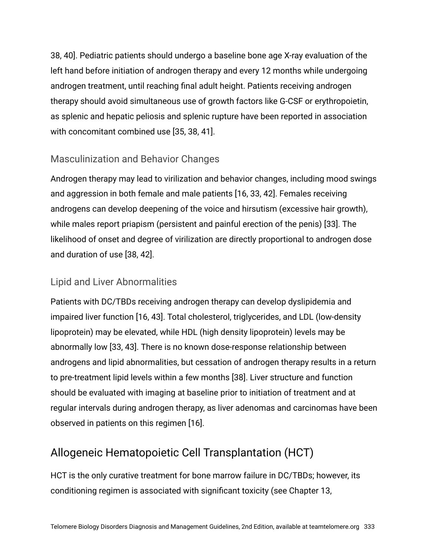38, 40]. Pediatric patients should undergo a baseline bone age X-ray evaluation of the left hand before initiation of androgen therapy and every 12 months while undergoing androgen treatment, until reaching final adult height. Patients receiving androgen therapy should avoid simultaneous use of growth factors like G-CSF or erythropoietin, as splenic and hepatic peliosis and splenic rupture have been reported in association with concomitant combined use [35, 38, 41].

#### Masculinization and Behavior Changes

Androgen therapy may lead to virilization and behavior changes, including mood swings and aggression in both female and male patients [16, 33, 42]. Females receiving androgens can develop deepening of the voice and hirsutism (excessive hair growth), while males report priapism (persistent and painful erection of the penis) [33]. The likelihood of onset and degree of virilization are directly proportional to androgen dose and duration of use [38, 42].

#### Lipid and Liver Abnormalities

Patients with DC/TBDs receiving androgen therapy can develop dyslipidemia and impaired liver function [16, 43]. Total cholesterol, triglycerides, and LDL (low-density lipoprotein) may be elevated, while HDL (high density lipoprotein) levels may be abnormally low [33, 43]. There is no known dose-response relationship between androgens and lipid abnormalities, but cessation of androgen therapy results in a return to pre-treatment lipid levels within a few months [38]. Liver structure and function should be evaluated with imaging at baseline prior to initiation of treatment and at regular intervals during androgen therapy, as liver adenomas and carcinomas have been observed in patients on this regimen [16].

## Allogeneic Hematopoietic Cell Transplantation (HCT)

HCT is the only curative treatment for bone marrow failure in DC/TBDs; however, its conditioning regimen is associated with significant toxicity (see Chapter 13,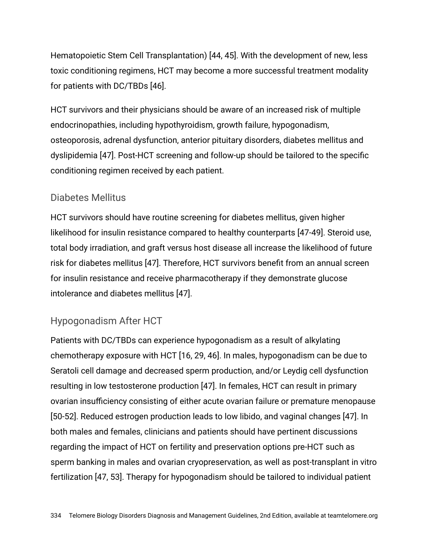Hematopoietic Stem Cell Transplantation) [44, 45]. With the development of new, less toxic conditioning regimens, HCT may become a more successful treatment modality for patients with DC/TBDs [46].

HCT survivors and their physicians should be aware of an increased risk of multiple endocrinopathies, including hypothyroidism, growth failure, hypogonadism, osteoporosis, adrenal dysfunction, anterior pituitary disorders, diabetes mellitus and dyslipidemia [47]. Post-HCT screening and follow-up should be tailored to the specific conditioning regimen received by each patient.

#### Diabetes Mellitus

HCT survivors should have routine screening for diabetes mellitus, given higher likelihood for insulin resistance compared to healthy counterparts [47-49]. Steroid use, total body irradiation, and graft versus host disease all increase the likelihood of future risk for diabetes mellitus [47]. Therefore, HCT survivors benefit from an annual screen for insulin resistance and receive pharmacotherapy if they demonstrate glucose intolerance and diabetes mellitus [47].

#### Hypogonadism After HCT

Patients with DC/TBDs can experience hypogonadism as a result of alkylating chemotherapy exposure with HCT [16, 29, 46]. In males, hypogonadism can be due to Seratoli cell damage and decreased sperm production, and/or Leydig cell dysfunction resulting in low testosterone production [47]. In females, HCT can result in primary ovarian insufficiency consisting of either acute ovarian failure or premature menopause [50-52]. Reduced estrogen production leads to low libido, and vaginal changes [47]. In both males and females, clinicians and patients should have pertinent discussions regarding the impact of HCT on fertility and preservation options pre-HCT such as sperm banking in males and ovarian cryopreservation, as well as post-transplant in vitro fertilization [47, 53]. Therapy for hypogonadism should be tailored to individual patient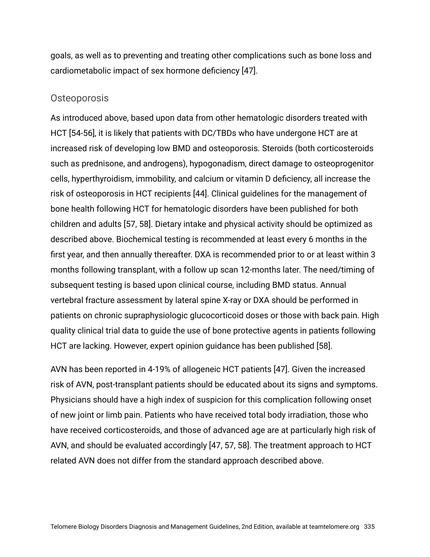goals, as well as to preventing and treating other complications such as bone loss and cardiometabolic impact of sex hormone deficiency [47].

#### Osteoporosis

As introduced above, based upon data from other hematologic disorders treated with HCT [54-56], it is likely that patients with DC/TBDs who have undergone HCT are at increased risk of developing low BMD and osteoporosis. Steroids (both corticosteroids such as prednisone, and androgens), hypogonadism, direct damage to osteoprogenitor cells, hyperthyroidism, immobility, and calcium or vitamin D deficiency, all increase the risk of osteoporosis in HCT recipients [44]. Clinical guidelines for the management of bone health following HCT for hematologic disorders have been published for both children and adults [57, 58]. Dietary intake and physical activity should be optimized as described above. Biochemical testing is recommended at least every 6 months in the first year, and then annually thereafter. DXA is recommended prior to or at least within 3 months following transplant, with a follow up scan 12-months later. The need/timing of subsequent testing is based upon clinical course, including BMD status. Annual vertebral fracture assessment by lateral spine X-ray or DXA should be performed in patients on chronic supraphysiologic glucocorticoid doses or those with back pain. High quality clinical trial data to guide the use of bone protective agents in patients following HCT are lacking. However, expert opinion guidance has been published [58].

AVN has been reported in 4-19% of allogeneic HCT patients [47]. Given the increased risk of AVN, post-transplant patients should be educated about its signs and symptoms. Physicians should have a high index of suspicion for this complication following onset of new joint or limb pain. Patients who have received total body irradiation, those who have received corticosteroids, and those of advanced age are at particularly high risk of AVN, and should be evaluated accordingly [47, 57, 58]. The treatment approach to HCT related AVN does not differ from the standard approach described above.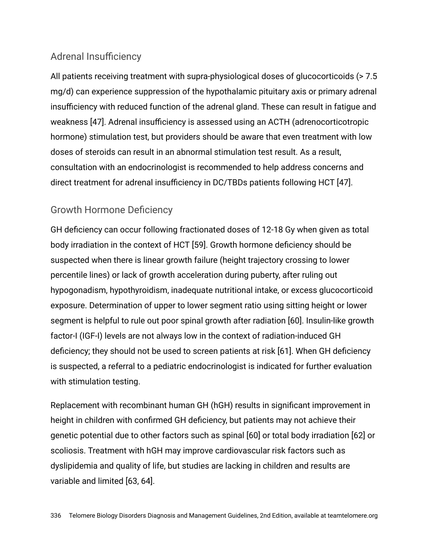#### Adrenal Insufficiency

All patients receiving treatment with supra-physiological doses of glucocorticoids (> 7.5 mg/d) can experience suppression of the hypothalamic pituitary axis or primary adrenal insufficiency with reduced function of the adrenal gland. These can result in fatigue and weakness [47]. Adrenal insufficiency is assessed using an ACTH (adrenocorticotropic hormone) stimulation test, but providers should be aware that even treatment with low doses of steroids can result in an abnormal stimulation test result. As a result, consultation with an endocrinologist is recommended to help address concerns and direct treatment for adrenal insufficiency in DC/TBDs patients following HCT [47].

#### Growth Hormone Deficiency

GH deficiency can occur following fractionated doses of 12-18 Gy when given as total body irradiation in the context of HCT [59]. Growth hormone deficiency should be suspected when there is linear growth failure (height trajectory crossing to lower percentile lines) or lack of growth acceleration during puberty, after ruling out hypogonadism, hypothyroidism, inadequate nutritional intake, or excess glucocorticoid exposure. Determination of upper to lower segment ratio using sitting height or lower segment is helpful to rule out poor spinal growth after radiation [60]. Insulin-like growth factor-I (IGF-I) levels are not always low in the context of radiation-induced GH deficiency; they should not be used to screen patients at risk [61]. When GH deficiency is suspected, a referral to a pediatric endocrinologist is indicated for further evaluation with stimulation testing.

Replacement with recombinant human GH (hGH) results in significant improvement in height in children with confirmed GH deficiency, but patients may not achieve their genetic potential due to other factors such as spinal [60] or total body irradiation [62] or scoliosis. Treatment with hGH may improve cardiovascular risk factors such as dyslipidemia and quality of life, but studies are lacking in children and results are variable and limited [63, 64].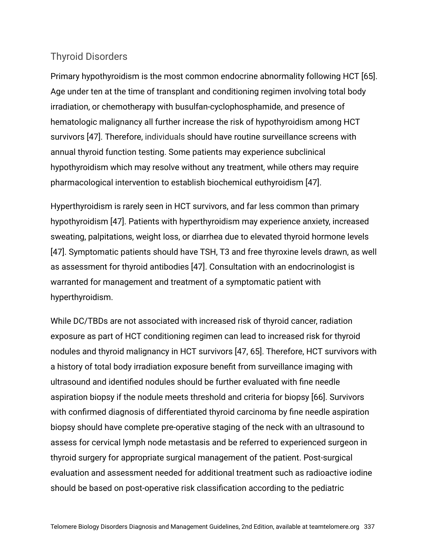#### Thyroid Disorders

Primary hypothyroidism is the most common endocrine abnormality following HCT [65]. Age under ten at the time of transplant and conditioning regimen involving total body irradiation, or chemotherapy with busulfan-cyclophosphamide, and presence of hematologic malignancy all further increase the risk of hypothyroidism among HCT survivors [47]. Therefore, individuals should have routine surveillance screens with annual thyroid function testing. Some patients may experience subclinical hypothyroidism which may resolve without any treatment, while others may require pharmacological intervention to establish biochemical euthyroidism [47].

Hyperthyroidism is rarely seen in HCT survivors, and far less common than primary hypothyroidism [47]. Patients with hyperthyroidism may experience anxiety, increased sweating, palpitations, weight loss, or diarrhea due to elevated thyroid hormone levels [47]. Symptomatic patients should have TSH, T3 and free thyroxine levels drawn, as well as assessment for thyroid antibodies [47]. Consultation with an endocrinologist is warranted for management and treatment of a symptomatic patient with hyperthyroidism.

While DC/TBDs are not associated with increased risk of thyroid cancer, radiation exposure as part of HCT conditioning regimen can lead to increased risk for thyroid nodules and thyroid malignancy in HCT survivors [47, 65]. Therefore, HCT survivors with a history of total body irradiation exposure benefit from surveillance imaging with ultrasound and identified nodules should be further evaluated with fine needle aspiration biopsy if the nodule meets threshold and criteria for biopsy [66]. Survivors with confirmed diagnosis of differentiated thyroid carcinoma by fine needle aspiration biopsy should have complete pre-operative staging of the neck with an ultrasound to assess for cervical lymph node metastasis and be referred to experienced surgeon in thyroid surgery for appropriate surgical management of the patient. Post-surgical evaluation and assessment needed for additional treatment such as radioactive iodine should be based on post-operative risk classification according to the pediatric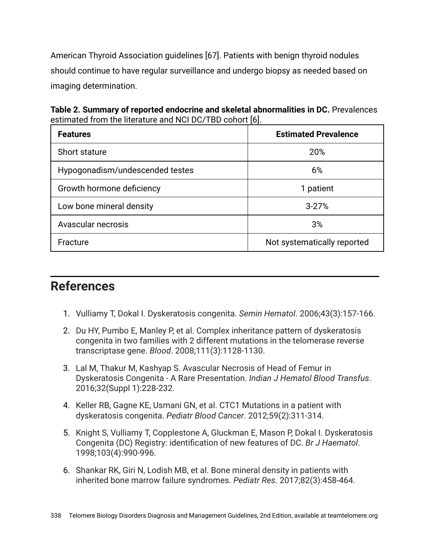American Thyroid Association guidelines [67]. Patients with benign thyroid nodules should continue to have regular surveillance and undergo biopsy as needed based on imaging determination.

**Table 2. Summary of reported endocrine and skeletal abnormalities in DC.** Prevalences estimated from the literature and NCI DC/TBD cohort [6].

| <b>Features</b>                 | <b>Estimated Prevalence</b> |  |
|---------------------------------|-----------------------------|--|
| Short stature                   | 20%                         |  |
| Hypogonadism/undescended testes | 6%                          |  |
| Growth hormone deficiency       | 1 patient                   |  |
| Low bone mineral density        | $3 - 27%$                   |  |
| Avascular necrosis              | 3%                          |  |
| Fracture                        | Not systematically reported |  |

## **References**

- 1. Vulliamy T, Dokal I. Dyskeratosis congenita. *Semin Hematol*. 2006;43(3):157-166.
- 2. Du HY, Pumbo E, Manley P, et al. Complex inheritance pattern of dyskeratosis congenita in two families with 2 different mutations in the telomerase reverse transcriptase gene. *Blood*. 2008;111(3):1128-1130.
- 3. Lal M, Thakur M, Kashyap S. Avascular Necrosis of Head of Femur in Dyskeratosis Congenita - A Rare Presentation. *Indian J Hematol Blood Transfus*. 2016;32(Suppl 1):228-232.
- 4. Keller RB, Gagne KE, Usmani GN, et al. CTC1 Mutations in a patient with dyskeratosis congenita. *Pediatr Blood Cancer*. 2012;59(2):311-314.
- 5. Knight S, Vulliamy T, Copplestone A, Gluckman E, Mason P, Dokal I. Dyskeratosis Congenita (DC) Registry: identification of new features of DC. *Br J Haematol*. 1998;103(4):990-996.
- 6. Shankar RK, Giri N, Lodish MB, et al. Bone mineral density in patients with inherited bone marrow failure syndromes. *Pediatr Res*. 2017;82(3):458-464.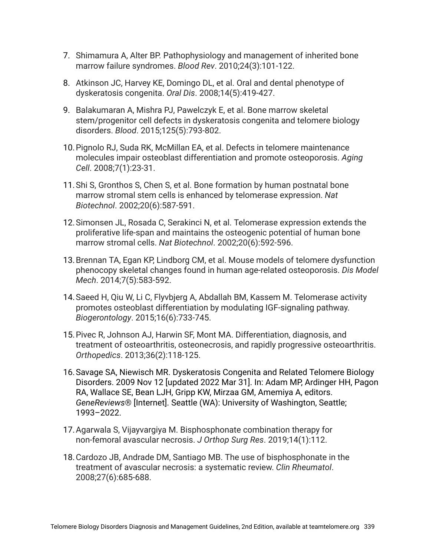- 7. Shimamura A, Alter BP. Pathophysiology and management of inherited bone marrow failure syndromes. *Blood Rev*. 2010;24(3):101-122.
- 8. Atkinson JC, Harvey KE, Domingo DL, et al. Oral and dental phenotype of dyskeratosis congenita. *Oral Dis*. 2008;14(5):419-427.
- 9. Balakumaran A, Mishra PJ, Pawelczyk E, et al. Bone marrow skeletal stem/progenitor cell defects in dyskeratosis congenita and telomere biology disorders. *Blood*. 2015;125(5):793-802.
- 10.Pignolo RJ, Suda RK, McMillan EA, et al. Defects in telomere maintenance molecules impair osteoblast differentiation and promote osteoporosis. *Aging Cell*. 2008;7(1):23-31.
- 11.Shi S, Gronthos S, Chen S, et al. Bone formation by human postnatal bone marrow stromal stem cells is enhanced by telomerase expression. *Nat Biotechnol*. 2002;20(6):587-591.
- 12.Simonsen JL, Rosada C, Serakinci N, et al. Telomerase expression extends the proliferative life-span and maintains the osteogenic potential of human bone marrow stromal cells. *Nat Biotechnol*. 2002;20(6):592-596.
- 13.Brennan TA, Egan KP, Lindborg CM, et al. Mouse models of telomere dysfunction phenocopy skeletal changes found in human age-related osteoporosis. *Dis Model Mech*. 2014;7(5):583-592.
- 14.Saeed H, Qiu W, Li C, Flyvbjerg A, Abdallah BM, Kassem M. Telomerase activity promotes osteoblast differentiation by modulating IGF-signaling pathway. *Biogerontology*. 2015;16(6):733-745.
- 15.Pivec R, Johnson AJ, Harwin SF, Mont MA. Differentiation, diagnosis, and treatment of osteoarthritis, osteonecrosis, and rapidly progressive osteoarthritis. *Orthopedics*. 2013;36(2):118-125.
- 16.Savage SA, Niewisch MR. Dyskeratosis Congenita and Related Telomere Biology Disorders. 2009 Nov 12 [updated 2022 Mar 31]. In: Adam MP, Ardinger HH, Pagon RA, Wallace SE, Bean LJH, Gripp KW, Mirzaa GM, Amemiya A, editors. *GeneReviews*® [Internet]. Seattle (WA): University of Washington, Seattle; 1993–2022.
- 17.Agarwala S, Vijayvargiya M. Bisphosphonate combination therapy for non-femoral avascular necrosis. *J Orthop Surg Res*. 2019;14(1):112.
- 18.Cardozo JB, Andrade DM, Santiago MB. The use of bisphosphonate in the treatment of avascular necrosis: a systematic review. *Clin Rheumatol*. 2008;27(6):685-688.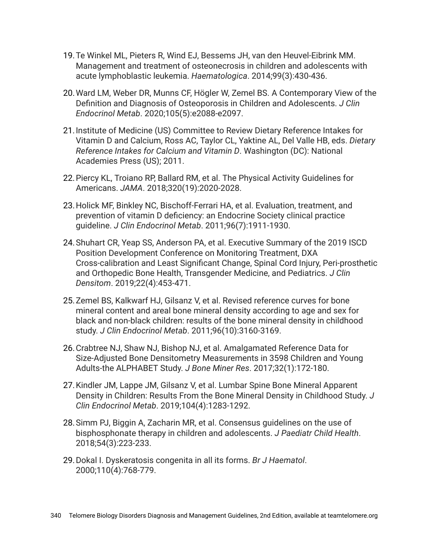- 19.Te Winkel ML, Pieters R, Wind EJ, Bessems JH, van den Heuvel-Eibrink MM. Management and treatment of osteonecrosis in children and adolescents with acute lymphoblastic leukemia. *Haematologica*. 2014;99(3):430-436.
- 20.Ward LM, Weber DR, Munns CF, Högler W, Zemel BS. A Contemporary View of the Definition and Diagnosis of Osteoporosis in Children and Adolescents. *J Clin Endocrinol Metab*. 2020;105(5):e2088-e2097.
- 21.Institute of Medicine (US) Committee to Review Dietary Reference Intakes for Vitamin D and Calcium, Ross AC, Taylor CL, Yaktine AL, Del Valle HB, eds. *Dietary Reference Intakes for Calcium and Vitamin D*. Washington (DC): National Academies Press (US); 2011.
- 22.Piercy KL, Troiano RP, Ballard RM, et al. The Physical Activity Guidelines for Americans. *JAMA*. 2018;320(19):2020-2028.
- 23.Holick MF, Binkley NC, Bischoff-Ferrari HA, et al. Evaluation, treatment, and prevention of vitamin D deficiency: an Endocrine Society clinical practice guideline. *J Clin Endocrinol Metab*. 2011;96(7):1911-1930.
- 24.Shuhart CR, Yeap SS, Anderson PA, et al. Executive Summary of the 2019 ISCD Position Development Conference on Monitoring Treatment, DXA Cross-calibration and Least Significant Change, Spinal Cord Injury, Peri-prosthetic and Orthopedic Bone Health, Transgender Medicine, and Pediatrics. *J Clin Densitom*. 2019;22(4):453-471.
- 25.Zemel BS, Kalkwarf HJ, Gilsanz V, et al. Revised reference curves for bone mineral content and areal bone mineral density according to age and sex for black and non-black children: results of the bone mineral density in childhood study. *J Clin Endocrinol Metab*. 2011;96(10):3160-3169.
- 26.Crabtree NJ, Shaw NJ, Bishop NJ, et al. Amalgamated Reference Data for Size-Adjusted Bone Densitometry Measurements in 3598 Children and Young Adults-the ALPHABET Study. *J Bone Miner Res*. 2017;32(1):172-180.
- 27.Kindler JM, Lappe JM, Gilsanz V, et al. Lumbar Spine Bone Mineral Apparent Density in Children: Results From the Bone Mineral Density in Childhood Study. *J Clin Endocrinol Metab*. 2019;104(4):1283-1292.
- 28.Simm PJ, Biggin A, Zacharin MR, et al. Consensus guidelines on the use of bisphosphonate therapy in children and adolescents. *J Paediatr Child Health*. 2018;54(3):223-233.
- 29.Dokal I. Dyskeratosis congenita in all its forms. *Br J Haematol*. 2000;110(4):768-779.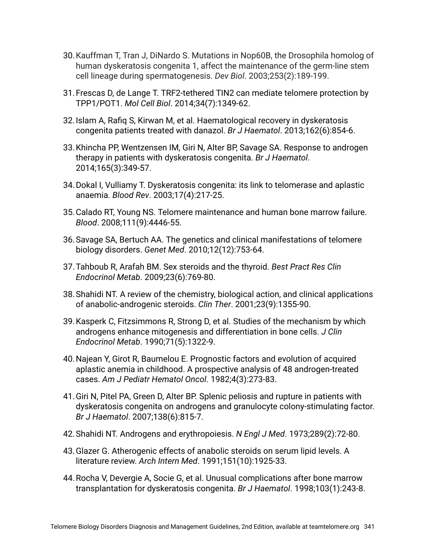- 30.Kauffman T, Tran J, DiNardo S. Mutations in Nop60B, the Drosophila homolog of human dyskeratosis congenita 1, affect the maintenance of the germ-line stem cell lineage during spermatogenesis. *Dev Biol*. 2003;253(2):189-199.
- 31.Frescas D, de Lange T. TRF2-tethered TIN2 can mediate telomere protection by TPP1/POT1. *Mol Cell Biol*. 2014;34(7):1349-62.
- 32.Islam A, Rafiq S, Kirwan M, et al. Haematological recovery in dyskeratosis congenita patients treated with danazol. *Br J Haematol*. 2013;162(6):854-6.
- 33.Khincha PP, Wentzensen IM, Giri N, Alter BP, Savage SA. Response to androgen therapy in patients with dyskeratosis congenita. *Br J Haematol*. 2014;165(3):349-57.
- 34.Dokal I, Vulliamy T. Dyskeratosis congenita: its link to telomerase and aplastic anaemia. *Blood Rev*. 2003;17(4):217-25.
- 35.Calado RT, Young NS. Telomere maintenance and human bone marrow failure. *Blood*. 2008;111(9):4446-55.
- 36.Savage SA, Bertuch AA. The genetics and clinical manifestations of telomere biology disorders. *Genet Med*. 2010;12(12):753-64.
- 37.Tahboub R, Arafah BM. Sex steroids and the thyroid. *Best Pract Res Clin Endocrinol Metab*. 2009;23(6):769-80.
- 38.Shahidi NT. A review of the chemistry, biological action, and clinical applications of anabolic-androgenic steroids. *Clin Ther*. 2001;23(9):1355-90.
- 39.Kasperk C, Fitzsimmons R, Strong D, et al. Studies of the mechanism by which androgens enhance mitogenesis and differentiation in bone cells. *J Clin Endocrinol Metab*. 1990;71(5):1322-9.
- 40.Najean Y, Girot R, Baumelou E. Prognostic factors and evolution of acquired aplastic anemia in childhood. A prospective analysis of 48 androgen-treated cases. *Am J Pediatr Hematol Oncol*. 1982;4(3):273-83.
- 41.Giri N, Pitel PA, Green D, Alter BP. Splenic peliosis and rupture in patients with dyskeratosis congenita on androgens and granulocyte colony-stimulating factor. *Br J Haematol*. 2007;138(6):815-7.
- 42.Shahidi NT. Androgens and erythropoiesis. *N Engl J Med*. 1973;289(2):72-80.
- 43.Glazer G. Atherogenic effects of anabolic steroids on serum lipid levels. A literature review. *Arch Intern Med*. 1991;151(10):1925-33.
- 44.Rocha V, Devergie A, Socie G, et al. Unusual complications after bone marrow transplantation for dyskeratosis congenita. *Br J Haematol*. 1998;103(1):243-8.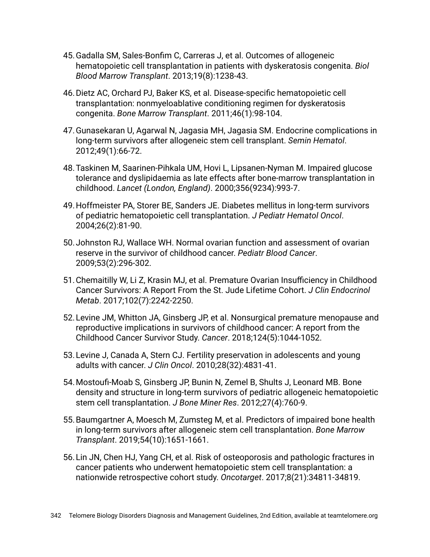- 45.Gadalla SM, Sales-Bonfim C, Carreras J, et al. Outcomes of allogeneic hematopoietic cell transplantation in patients with dyskeratosis congenita. *Biol Blood Marrow Transplant*. 2013;19(8):1238-43.
- 46.Dietz AC, Orchard PJ, Baker KS, et al. Disease-specific hematopoietic cell transplantation: nonmyeloablative conditioning regimen for dyskeratosis congenita. *Bone Marrow Transplant*. 2011;46(1):98-104.
- 47.Gunasekaran U, Agarwal N, Jagasia MH, Jagasia SM. Endocrine complications in long-term survivors after allogeneic stem cell transplant. *Semin Hematol*. 2012;49(1):66-72.
- 48.Taskinen M, Saarinen-Pihkala UM, Hovi L, Lipsanen-Nyman M. Impaired glucose tolerance and dyslipidaemia as late effects after bone-marrow transplantation in childhood. *Lancet (London, England)*. 2000;356(9234):993-7.
- 49.Hoffmeister PA, Storer BE, Sanders JE. Diabetes mellitus in long-term survivors of pediatric hematopoietic cell transplantation. *J Pediatr Hematol Oncol*. 2004;26(2):81-90.
- 50.Johnston RJ, Wallace WH. Normal ovarian function and assessment of ovarian reserve in the survivor of childhood cancer. *Pediatr Blood Cancer*. 2009;53(2):296-302.
- 51.Chemaitilly W, Li Z, Krasin MJ, et al. Premature Ovarian Insufficiency in Childhood Cancer Survivors: A Report From the St. Jude Lifetime Cohort. *J Clin Endocrinol Metab*. 2017;102(7):2242-2250.
- 52.Levine JM, Whitton JA, Ginsberg JP, et al. Nonsurgical premature menopause and reproductive implications in survivors of childhood cancer: A report from the Childhood Cancer Survivor Study. *Cancer*. 2018;124(5):1044-1052.
- 53.Levine J, Canada A, Stern CJ. Fertility preservation in adolescents and young adults with cancer. *J Clin Oncol*. 2010;28(32):4831-41.
- 54.Mostoufi-Moab S, Ginsberg JP, Bunin N, Zemel B, Shults J, Leonard MB. Bone density and structure in long-term survivors of pediatric allogeneic hematopoietic stem cell transplantation. *J Bone Miner Res*. 2012;27(4):760-9.
- 55.Baumgartner A, Moesch M, Zumsteg M, et al. Predictors of impaired bone health in long-term survivors after allogeneic stem cell transplantation. *Bone Marrow Transplant*. 2019;54(10):1651-1661.
- 56.Lin JN, Chen HJ, Yang CH, et al. Risk of osteoporosis and pathologic fractures in cancer patients who underwent hematopoietic stem cell transplantation: a nationwide retrospective cohort study. *Oncotarget*. 2017;8(21):34811-34819.